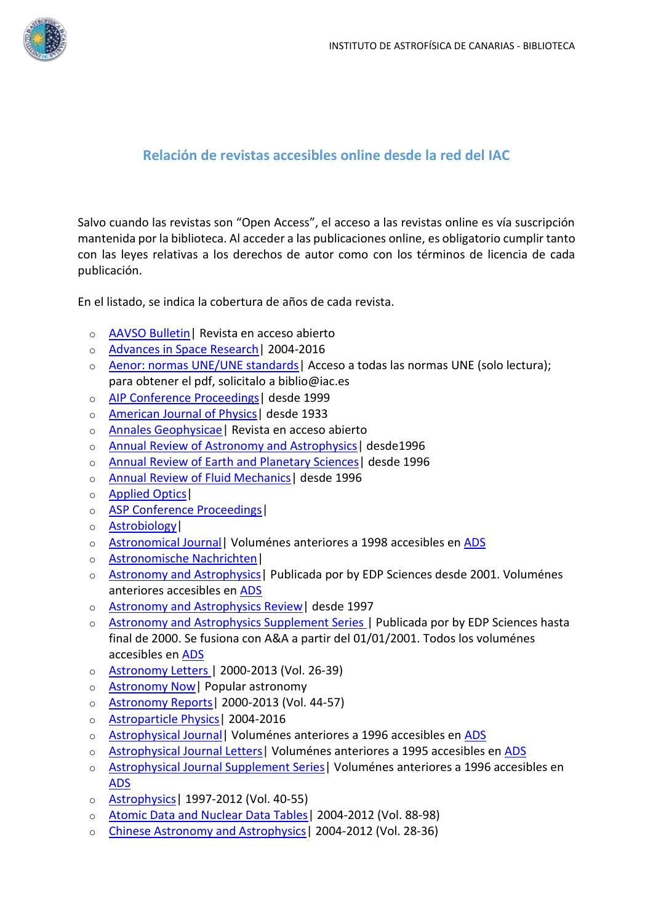

## **Relación de revistas accesibles online desde la red del IAC**

Salvo cuando las revistas son "Open Access", el acceso a las revistas online es vía suscripción mantenida por la biblioteca. Al acceder a las publicaciones online, es obligatorio cumplir tanto con las leyes relativas a los derechos de autor como con los términos de licencia de cada publicación.

En el listado, se indica la cobertura de años de cada revista.

- o [AAVSO Bulletin|](http://www.aavso.org/aavso-bulletin) Revista en acceso abierto
- o [Advances in Space Research|](http://www.sciencedirect.com/science/journal/02731177) 2004-2016
- o [Aenor: normas UNE/UNE standards|](https://www.aenor.es/aenor/suscripciones/personal/pagina_per_buscador.asp) Acceso a todas las normas UNE (solo lectura); para obtener el pdf, solicitalo a biblio@iac.es
- o [AIP Conference Proceedings|](http://proceedings.aip.org/) desde 1999
- o [American Journal of Physics|](http://scitation.aip.org/content/aapt/journal/ajp) desde 1933
- o [Annales Geophysicae|](http://www.ann-geophys.net/recent_papers.html) Revista en acceso abierto
- o [Annual Review of Astronomy and Astrophysics|](http://www.annualreviews.org/journal/astro) desde1996
- o [Annual Review of Earth and Planetary Sciences|](http://www.annualreviews.org/journal/earth) desde 1996
- o [Annual Review of Fluid Mechanics|](https://www.annualreviews.org/journal/fluid) desde 1996
- o [Applied Optics|](https://www.osapublishing.org/ao)
- o [ASP Conference Proceedings|](http://www.aspbooks.org/a/volumes)
- o [Astrobiology|](http://online.liebertpub.com/loi/AST)
- o [Astronomical Journal|](http://iopscience.iop.org/journal/1538-3881) Voluménes anteriores a 1998 accesibles en [ADS](https://ui.adsabs.harvard.edu/)
- o [Astronomische Nachrichten|](https://onlinelibrary.wiley.com/loi/15213994)
- o [Astronomy and Astrophysics|](http://www.aanda.org/) Publicada por by EDP Sciences desde 2001. Voluménes anteriores accesibles en [ADS](https://ui.adsabs.harvard.edu/)
- o [Astronomy and Astrophysics Review|](http://www.springerlink.com/content/100506/) desde 1997
- o [Astronomy and Astrophysics Supplement Series |](http://aas.aanda.org/) Publicada por by EDP Sciences hasta final de 2000. Se fusiona con A&A a partir del 01/01/2001. Todos los voluménes accesibles en [ADS](https://ui.adsabs.harvard.edu/)
- o [Astronomy Letters |](http://www.springerlink.com/content/119837) 2000-2013 (Vol. 26-39)
- o [Astronomy Now|](http://www.astronomynow.com/) Popular astronomy
- o [Astronomy Reports|](http://www.springerlink.com/content/119838) 2000-2013 (Vol. 44-57)
- o [Astroparticle Physics|](http://www.sciencedirect.com/science/journal/09276505) 2004-2016
- o [Astrophysical Journal|](http://iopscience.iop.org/journal/0004-637X) Voluménes anteriores a 1996 accesibles en [ADS](https://ui.adsabs.harvard.edu/)
- o [Astrophysical Journal Letters|](http://iopscience.iop.org/journal/2041-8205) Voluménes anteriores a 1995 accesibles en [ADS](https://ui.adsabs.harvard.edu/)
- o [Astrophysical Journal Supplement Series|](http://iopscience.iop.org/journal/0067-0049) Voluménes anteriores a 1996 accesibles en [ADS](https://ui.adsabs.harvard.edu/)
- o [Astrophysics|](http://www.springerlink.com/content/106457) 1997-2012 (Vol. 40-55)
- o [Atomic Data and Nuclear Data Tables|](http://www.sciencedirect.com/science/journal/0092640X) 2004-2012 (Vol. 88-98)
- o [Chinese Astronomy and Astrophysics|](http://www.sciencedirect.com/science/journal/02751062) 2004-2012 (Vol. 28-36)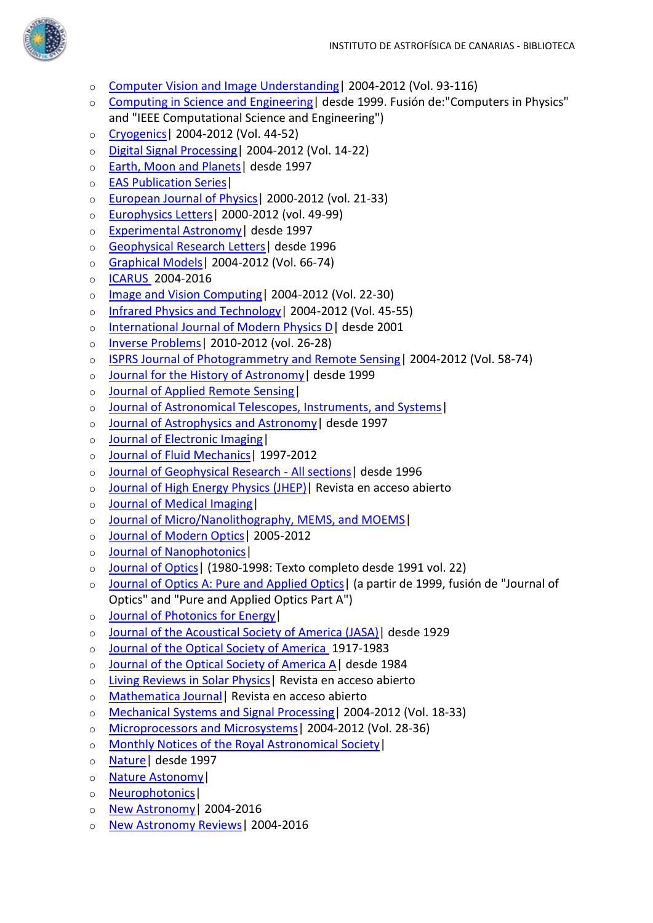

- o [Computer Vision and Image Understanding|](http://www.sciencedirect.com/science/journal/10773142) 2004-2012 (Vol. 93-116)
- o [Computing in Science and Engineering|](https://www.computer.org/csdl/magazines/cs) desde 1999. Fusión de:"Computers in Physics" and "IEEE Computational Science and Engineering")
- o [Cryogenics|](http://www.sciencedirect.com/science/journal/00112275) 2004-2012 (Vol. 44-52)
- o [Digital Signal Processing|](http://www.sciencedirect.com/science/journal/10512004) 2004-2012 (Vol. 14-22)
- o [Earth, Moon and Planets|](http://www.springerlink.com/content/1573-0794/) desde 1997
- o [EAS Publication Series|](http://www.eas-journal.org/)
- o [European Journal of Physics|](http://iopscience.iop.org/journal/0143-0807) 2000-2012 (vol. 21-33)
- o [Europhysics Letters|](http://iopscience.iop.org/journal/0295-5075) 2000-2012 (vol. 49-99)
- o [Experimental Astronomy|](http://link.springer.com/journal/10686) desde 1997
- o [Geophysical Research Letters|](http://agupubs.onlinelibrary.wiley.com/agu/journal/10.1002/(ISSN)1944-8007/) desde 1996
- o [Graphical Models|](http://www.sciencedirect.com/science/journal/15240703) 2004-2012 (Vol. 66-74)
- o [ICARUS](http://www.sciencedirect.com/science/journal/00191035) 2004-2016
- o [Image and Vision Computing|](http://www.sciencedirect.com/science/journal/02628856) 2004-2012 (Vol. 22-30)
- o Infrared Physics and Technology | 2004-2012 (Vol. 45-55)
- o [International Journal of Modern Physics D|](http://www.worldscinet.com/ijmpd/ijmpd.shtml) desde 2001
- o [Inverse Problems|](http://iopscience.iop.org/journal/0266-5611) 2010-2012 (vol. 26-28)
- o [ISPRS Journal of Photogrammetry and Remote Sensing|](http://www.sciencedirect.com/science/journal/09242716) 2004-2012 (Vol. 58-74)
- o [Journal for the History of Astronomy|](https://journals.sagepub.com/home/jha) desde 1999
- o [Journal of Applied Remote Sensing|](https://www.spiedigitallibrary.org/journals/journal-of-applied-remote-sensing)
- o [Journal of Astronomical Telescopes, Instruments, and Systems|](https://www.spiedigitallibrary.org/journals/journal-of-astronomical-telescopes-instruments-and-systems)
- o [Journal of Astrophysics and Astronomy|](http://link.springer.com/journal/12036) desde 1997
- o [Journal of Electronic Imaging|](https://www.spiedigitallibrary.org/journals/journal-of-electronic-imaging)
- o [Journal of Fluid Mechanics|](https://www.cambridge.org/core/journals/journal-of-fluid-mechanics) 1997-2012
- o [Journal of Geophysical Research -](http://agupubs.onlinelibrary.wiley.com/agu/jgr/journal/10.1002/(ISSN)2156-2202/) All sections| desde 1996
- o [Journal of High Energy Physics](http://link.springer.com/journal/13130) (JHEP)| Revista en acceso abierto
- o [Journal of Medical Imaging|](https://www.spiedigitallibrary.org/journals/journal-of-medical-imaging)
- o [Journal of Micro/Nanolithography, MEMS, and MOEMS|](https://www.spiedigitallibrary.org/journals/journal-of-micro-nanolithography-mems-and-moems)
- o [Journal of Modern Optics|](https://www.tandfonline.com/tmop20) 2005-2012
- o [Journal of Nanophotonics|](https://www.spiedigitallibrary.org/journals/journal-of-nanophotonics)
- o [Journal of Optics|](http://www.iop.org/EJ/S/3/412/IERyKnjlIbt3zbaKwf5qbw/journal/0150-536X) (1980-1998: Texto completo desde 1991 vol. 22)
- o [Journal of Optics A: Pure and Applied Optics|](http://www.iop.org/EJ/S/3/412/zdUwoG8NzNihhkiK.Z0mfA/journal/1464-4258) (a partir de 1999, fusión de "Journal of Optics" and "Pure and Applied Optics Part A")
- o [Journal of Photonics for Energy|](https://www.spiedigitallibrary.org/journals/journal-of-photonics-for-energy)
- o [Journal of the Acoustical Society of America \(JASA\)|](http://scitation.aip.org/content/asa/journal/jasa) desde 1929
- o [Journal of the Optical Society of America](https://www.osapublishing.org/josa) 1917-1983
- o [Journal of the Optical Society of America A|](https://www.osapublishing.org/josaa) desde 1984
- o [Living Reviews in Solar Physics|](http://link.springer.com/journal/41116) Revista en acceso abierto
- o [Mathematica Journal|](http://www.mathematica-journal.com/) Revista en acceso abierto
- o [Mechanical Systems and Signal Processing|](http://www.sciencedirect.com/science/journal/08883270) 2004-2012 (Vol. 18-33)
- o [Microprocessors and Microsystems|](http://www.sciencedirect.com/science/journal/01419331) 2004-2012 (Vol. 28-36)
- o [Monthly Notices of the Royal Astronomical Society|](http://mnras.oxfordjournals.org/)
- o [Nature|](http://www.nature.com/) desde 1997
- o [Nature Astonomy|](https://www.nature.com/natastron/)
- o [Neurophotonics|](https://www.spiedigitallibrary.org/journals/neurophotonics)
- o [New Astronomy|](http://www.sciencedirect.com/science/journal/13841076) 2004-2016
- o [New Astronomy Reviews|](http://www.sciencedirect.com/science/journal/13876473) 2004-2016